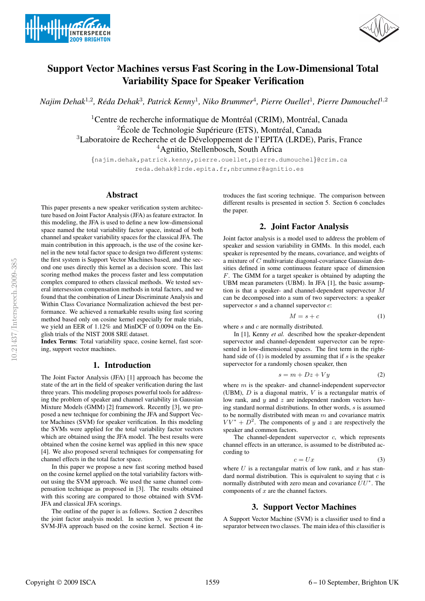



# Support Vector Machines versus Fast Scoring in the Low-Dimensional Total Variability Space for Speaker Verification

*Najim Dehak*<sup>1</sup>,<sup>2</sup> *, Reda Dehak ´* 3 *, Patrick Kenny*<sup>1</sup> *, Niko Brummer*<sup>4</sup> *, Pierre Ouellet*<sup>1</sup> *, Pierre Dumouchel*<sup>1</sup>,<sup>2</sup>

 $1$ Centre de recherche informatique de Montréal (CRIM), Montréal, Canada  ${}^{2}$ École de Technologie Supérieure (ETS), Montréal, Canada <sup>3</sup>Laboratoire de Recherche et de Développement de l'EPITA (LRDE), Paris, France <sup>4</sup>Agnitio, Stellenbosch, South Africa

{najim.dehak,patrick.kenny,pierre.ouellet,pierre.dumouchel}@crim.ca reda.dehak@lrde.epita.fr,nbrummer@agnitio.es

# Abstract

This paper presents a new speaker verification system architecture based on Joint Factor Analysis (JFA) as feature extractor. In this modeling, the JFA is used to define a new low-dimensional space named the total variability factor space, instead of both channel and speaker variability spaces for the classical JFA. The main contribution in this approach, is the use of the cosine kernel in the new total factor space to design two different systems: the first system is Support Vector Machines based, and the second one uses directly this kernel as a decision score. This last scoring method makes the process faster and less computation complex compared to others classical methods. We tested several intersession compensation methods in total factors, and we found that the combination of Linear Discriminate Analysis and Within Class Covariance Normalization achieved the best performance. We achieved a remarkable results using fast scoring method based only on cosine kernel especially for male trials, we yield an EER of 1.12% and MinDCF of 0.0094 on the English trials of the NIST 2008 SRE dataset.

Index Terms: Total variability space, cosine kernel, fast scoring, support vector machines.

# 1. Introduction

The Joint Factor Analysis (JFA) [1] approach has become the state of the art in the field of speaker verification during the last three years. This modeling proposes powerful tools for addressing the problem of speaker and channel variability in Gaussian Mixture Models (GMM) [2] framework. Recently [3], we proposed a new technique for combining the JFA and Support Vector Machines (SVM) for speaker verification. In this modeling the SVMs were applied for the total variability factor vectors which are obtained using the JFA model. The best results were obtained when the cosine kernel was applied in this new space [4]. We also proposed several techniques for compensating for channel effects in the total factor space.

In this paper we propose a new fast scoring method based on the cosine kernel applied on the total variability factors without using the SVM approach. We used the same channel compensation technique as proposed in [3]. The results obtained with this scoring are compared to those obtained with SVM-JFA and classical JFA scorings.

The outline of the paper is as follows. Section 2 describes the joint factor analysis model. In section 3, we present the SVM-JFA approach based on the cosine kernel. Section 4 introduces the fast scoring technique. The comparison between different results is presented in section 5. Section 6 concludes the paper.

# 2. Joint Factor Analysis

Joint factor analysis is a model used to address the problem of speaker and session variability in GMMs. In this model, each speaker is represented by the means, covariance, and weights of a mixture of C multivariate diagonal-covariance Gaussian densities defined in some continuous feature space of dimension F. The GMM for a target speaker is obtained by adapting the UBM mean parameters (UBM). In JFA [1], the basic assumption is that a speaker- and channel-dependent supervector M can be decomposed into a sum of two supervectors: a speaker supervector  $s$  and a channel supervector  $c$ :

$$
M = s + c \tag{1}
$$

where s and c are normally distributed.

In [1], Kenny *et al.* described how the speaker-dependent supervector and channel-dependent supervector can be represented in low-dimensional spaces. The first term in the righthand side of  $(1)$  is modeled by assuming that if s is the speaker supervector for a randomly chosen speaker, then

$$
s = m + Dz + Vy \tag{2}
$$

where  $m$  is the speaker- and channel-independent supervector (UBM),  $D$  is a diagonal matrix,  $V$  is a rectangular matrix of low rank, and  $y$  and  $z$  are independent random vectors having standard normal distributions. In other words, s is assumed to be normally distributed with mean  $m$  and covariance matrix  $VV^* + D^2$ . The components of y and z are respectively the speaker and common factors.

The channel-dependent supervector  $c$ , which represents channel effects in an utterance, is assumed to be distributed according to

$$
c = Ux \tag{3}
$$

where  $U$  is a rectangular matrix of low rank, and  $x$  has standard normal distribution. This is equivalent to saying that  $c$  is normally distributed with zero mean and covariance  $UU^*$ . The components of  $x$  are the channel factors.

# 3. Support Vector Machines

A Support Vector Machine (SVM) is a classifier used to find a separator between two classes. The main idea of this classifier is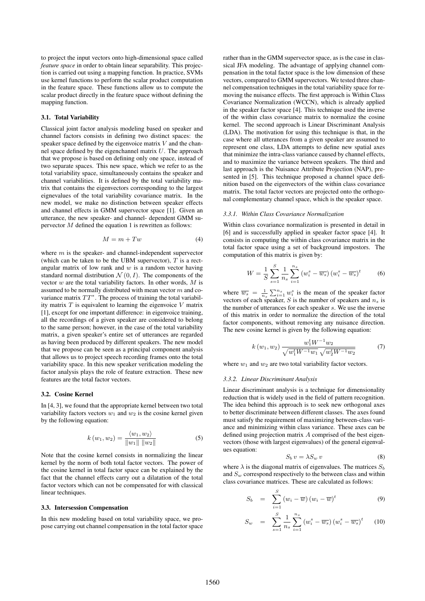to project the input vectors onto high-dimensional space called *feature space* in order to obtain linear separability. This projection is carried out using a mapping function. In practice, SVMs use kernel functions to perform the scalar product computation in the feature space. These functions allow us to compute the scalar product directly in the feature space without defining the mapping function.

#### 3.1. Total Variability

Classical joint factor analysis modeling based on speaker and channel factors consists in defining two distinct spaces: the speaker space defined by the eigenvoice matrix  $V$  and the channel space defined by the eigenchannel matrix  $U$ . The approach that we propose is based on defining only one space, instead of two separate spaces. This new space, which we refer to as the total variability space, simultaneously contains the speaker and channel variabilities. It is defined by the total variability matrix that contains the eigenvectors corresponding to the largest eignevalues of the total variability covariance matrix. In the new model, we make no distinction between speaker effects and channel effects in GMM supervector space [1]. Given an utterance, the new speaker- and channel- dependent GMM supervector  $M$  defined the equation 1 is rewritten as follows:

$$
M = m + Tw \tag{4}
$$

where  $m$  is the speaker- and channel-independent supervector (which can be taken to be the UBM supervector),  $T$  is a rectangular matrix of low rank and  $w$  is a random vector having standard normal distribution  $\mathcal{N}(0, I)$ . The components of the vector  $w$  are the total variability factors. In other words,  $M$  is assumed to be normally distributed with mean vector  $m$  and covariance matrix  $TT^*$ . The process of training the total variability matrix  $T$  is equivalent to learning the eigenvoice  $V$  matrix [1], except for one important difference: in eigenvoice training, all the recordings of a given speaker are considered to belong to the same person; however, in the case of the total variability matrix, a given speaker's entire set of utterances are regarded as having been produced by different speakers. The new model that we propose can be seen as a principal component analysis that allows us to project speech recording frames onto the total variability space. In this new speaker verification modeling the factor analysis plays the role of feature extraction. These new features are the total factor vectors.

#### 3.2. Cosine Kernel

In [4, 3], we found that the appropriate kernel between two total variability factors vectors  $w_1$  and  $w_2$  is the cosine kernel given by the following equation:

$$
k(w_1, w_2) = \frac{\langle w_1, w_2 \rangle}{\|w_1\| \|w_2\|} \tag{5}
$$

Note that the cosine kernel consists in normalizing the linear kernel by the norm of both total factor vectors. The power of the cosine kernel in total factor space can be explained by the fact that the channel effects carry out a dilatation of the total factor vectors which can not be compensated for with classical linear techniques.

#### 3.3. Intersession Compensation

In this new modeling based on total variability space, we propose carrying out channel compensation in the total factor space

rather than in the GMM supervector space, as is the case in classical JFA modeling. The advantage of applying channel compensation in the total factor space is the low dimension of these vectors, compared to GMM supervectors. We tested three channel compensation techniques in the total variability space for removing the nuisance effects. The first approach is Within Class Covariance Normalization (WCCN), which is already applied in the speaker factor space [4]. This technique used the inverse of the within class covariance matrix to normalize the cosine kernel. The second approach is Linear Discriminant Analysis (LDA). The motivation for using this technique is that, in the case where all utterances from a given speaker are assumed to represent one class, LDA attempts to define new spatial axes that minimize the intra-class variance caused by channel effects, and to maximize the variance between speakers. The third and last approach is the Nuisance Attribute Projection (NAP), presented in [5]. This technique proposed a channel space definition based on the eigenvectors of the within class covariance matrix. The total factor vectors are projected onto the orthogonal complementary channel space, which is the speaker space.

#### *3.3.1. Within Class Covariance Normalization*

Within class covariance normalization is presented in detail in [6] and is successfully applied in speaker factor space [4]. It consists in computing the within class covariance matrix in the total factor space using a set of background impostors. The computation of this matrix is given by:

$$
W = \frac{1}{S} \sum_{s=1}^{S} \frac{1}{n_s} \sum_{i=1}^{n_s} (w_i^s - \overline{w_s}) (w_i^s - \overline{w_s})^t
$$
 (6)

where  $\overline{w_s} = \frac{1}{n_s} \sum_{i=1}^{n_s} w_i^s$  is the mean of the speaker factor vectors of each speaker, S is the number of speakers and  $n_s$  is the number of utterances for each speaker s. We use the inverse of this matrix in order to normalize the direction of the total factor components, without removing any nuisance direction. The new cosine kernel is given by the following equation:

$$
k(w_1, w_2) \frac{w_1^t W^{-1} w_2}{\sqrt{w_1^t W^{-1} w_1} \sqrt{w_2^t W^{-1} w_2}} \tag{7}
$$

where  $w_1$  and  $w_2$  are two total variability factor vectors.

#### *3.3.2. Linear Discriminant Analysis*

Linear discriminant analysis is a technique for dimensionality reduction that is widely used in the field of pattern recognition. The idea behind this approach is to seek new orthogonal axes to better discriminate between different classes. The axes found must satisfy the requirement of maximizing between-class variance and minimizing within class variance. These axes can be defined using projection matrix A comprised of the best eigenvectors (those with largest eigenvalues) of the general eigenvalues equation:

$$
S_b v = \lambda S_w v \tag{8}
$$

where  $\lambda$  is the diagonal matrix of eigenvalues. The matrices  $S_b$ and  $S_w$  correspond respectively to the between class and within class covariance matrices. These are calculated as follows:

$$
S_b = \sum_{i=1}^{S} (w_i - \overline{w}) (w_i - \overline{w})^t
$$
 (9)

$$
S_w = \sum_{s=1}^{S} \frac{1}{n_s} \sum_{i=1}^{n_s} (w_i^s - \overline{w_s}) (w_i^s - \overline{w_s})^t \qquad (10)
$$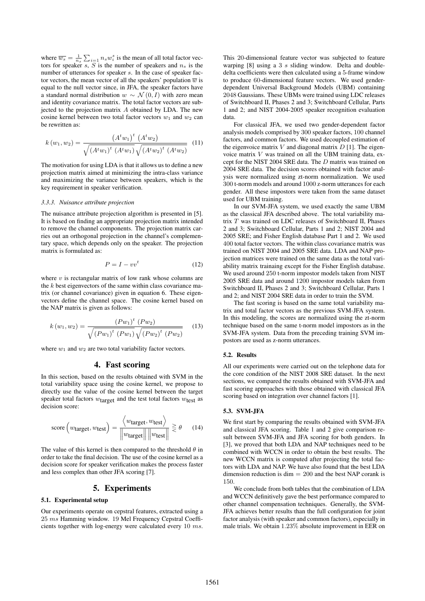where  $\overline{w_s} = \frac{1}{n_s} \sum_{i=1}^n n_s w_i^s$  is the mean of all total factor vectors for speaker s, S is the number of speakers and  $n_s$  is the number of utterances for speaker s. In the case of speaker factor vectors, the mean vector of all the speakers' population  $\overline{w}$  is equal to the null vector since, in JFA, the speaker factors have a standard normal distribution  $w \sim \mathcal{N}(0, I)$  with zero mean and identity covariance matrix. The total factor vectors are subjected to the projection matrix  $A$  obtained by LDA. The new cosine kernel between two total factor vectors  $w_1$  and  $w_2$  can be rewritten as:

$$
k(w_1, w_2) = \frac{(A^t w_1)^t (A^t w_2)}{\sqrt{(A^t w_1)^t (A^t w_1)} \sqrt{(A^t w_2)^t (A^t w_2)}}
$$
(11)

The motivation for using LDA is that it allows us to define a new projection matrix aimed at minimizing the intra-class variance and maximizing the variance between speakers, which is the key requirement in speaker verification.

#### *3.3.3. Nuisance attribute projection*

The nuisance attribute projection algorithm is presented in [5]. It is based on finding an appropriate projection matrix intended to remove the channel components. The projection matrix carries out an orthogonal projection in the channel's complementary space, which depends only on the speaker. The projection matrix is formulated as:

$$
P = I - vv^t \tag{12}
$$

where  $v$  is rectangular matrix of low rank whose columns are the  $k$  best eigenvectors of the same within class covariance matrix (or channel covariance) given in equation 6. These eigenvectors define the channel space. The cosine kernel based on the NAP matrix is given as follows:

$$
k(w_1, w_2) = \frac{(Pw_1)^t (Pw_2)}{\sqrt{(Pw_1)^t (Pw_1)} \sqrt{(Pw_2)^t (Pw_2)}}
$$
(13)

where  $w_1$  and  $w_2$  are two total variability factor vectors.

### 4. Fast scoring

In this section, based on the results obtained with SVM in the total variability space using the cosine kernel, we propose to directly use the value of the cosine kernel between the target speaker total factors  $w$ <sub>target</sub> and the test total factors  $w$ <sub>test</sub> as decision score:

score
$$
(w_{\text{target}}, w_{\text{test}})
$$
 =  $\frac{\langle w_{\text{target}}, w_{\text{test}} \rangle}{\|w_{\text{target}}\| \|w_{\text{test}}\|} \ge \theta$  (14)

The value of this kernel is then compared to the threshold  $\theta$  in order to take the final decision. The use of the cosine kernel as a decision score for speaker verification makes the process faster and less complex than other JFA scoring [7].

# 5. Experiments

#### 5.1. Experimental setup

Our experiments operate on cepstral features, extracted using a 25 ms Hamming window. 19 Mel Frequency Cepstral Coefficients together with log-energy were calculated every 10 ms. This 20-dimensional feature vector was subjected to feature warping [8] using a 3 s sliding window. Delta and doubledelta coefficients were then calculated using a 5-frame window to produce 60-dimensional feature vectors. We used genderdependent Universal Background Models (UBM) containing 2048 Gaussians. These UBMs were trained using LDC releases of Switchboard II, Phases 2 and 3; Switchboard Cellular, Parts 1 and 2; and NIST 2004-2005 speaker recognition evaluation data.

For classical JFA, we used two gender-dependent factor analysis models comprised by 300 speaker factors, 100 channel factors, and common factors. We used decoupled estimation of the eigenvoice matrix  $V$  and diagonal matrix  $D$  [1]. The eigenvoice matrix  $V$  was trained on all the UBM training data, except for the NIST 2004 SRE data. The D matrix was trained on 2004 SRE data. The decision scores obtained with factor analysis were normalized using zt-norm normalization. We used 300 t-norm models and around 1000 z-norm utterances for each gender. All these impostors were taken from the same dataset used for UBM training.

In our SVM-JFA system, we used exactly the same UBM as the classical JFA described above. The total variability matrix T was trained on LDC releases of Switchboard II, Phases 2 and 3; Switchboard Cellular, Parts 1 and 2; NIST 2004 and 2005 SRE; and Fisher English database Part 1 and 2. We used 400 total factor vectors. The within class covariance matrix was trained on NIST 2004 and 2005 SRE data. LDA and NAP projection matrices were trained on the same data as the total variability matrix trainaing except for the Fisher English database. We used around 250 t-norm impostor models taken from NIST 2005 SRE data and around 1200 impostor models taken from Switchboard II, Phases 2 and 3; Switchboard Cellular, Parts 1 and 2; and NIST 2004 SRE data in order to train the SVM.

The fast scoring is based on the same total variability matrix and total factor vectors as the previous SVM-JFA system. In this modeling, the scores are normalized using the zt-norm technique based on the same t-norm model impostors as in the SVM-JFA system. Data from the preceding training SVM impostors are used as z-norm utterances.

#### 5.2. Results

All our experiments were carried out on the telephone data for the core condition of the NIST 2008 SRE dataset. In the next sections, we compared the results obtained with SVM-JFA and fast scoring approaches with those obtained with classical JFA scoring based on integration over channel factors [1].

#### 5.3. SVM-JFA

We first start by comparing the results obtained with SVM-JFA and classical JFA scoring. Table 1 and 2 give comparison result between SVM-JFA and JFA scoring for both genders. In [3], we proved that both LDA and NAP techniques need to be combined with WCCN in order to obtain the best results. The new WCCN matrix is computed after projecting the total factors with LDA and NAP. We have also found that the best LDA dimension reduction is dim  $= 200$  and the best NAP corank is 150.

We conclude from both tables that the combination of LDA and WCCN definitively gave the best performance compared to other channel compensation techniques. Generally, the SVM-JFA achieves better results than the full configuration for joint factor analysis (with speaker and common factors), especially in male trials. We obtain 1.23% absolute improvement in EER on